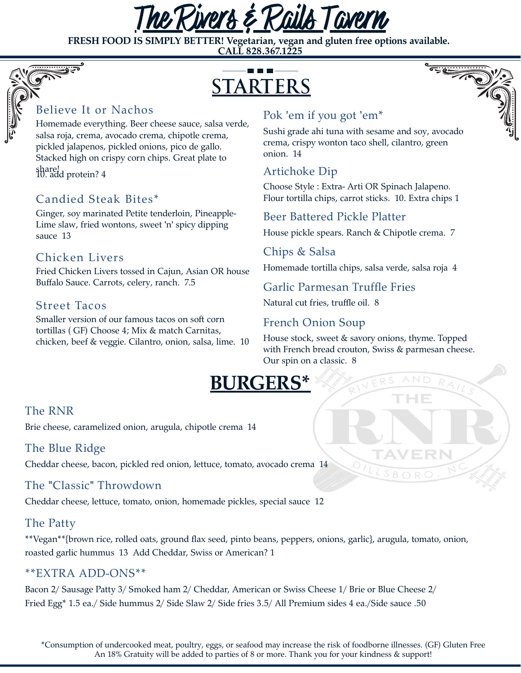

**FRESH FOOD IS SIMPLY BETTER!** Vegetarian, vegan and gluten free options available.<br>
CALL 828.367.1225<br>
CTARTERS **CALL 828.367.1225**



#### Believe It or Nachos

Homemade everything. Beer cheese sauce, salsa verde, salsa roja, crema, avocado crema, chipotle crema, pickled jalapenos, pickled onions, pico de gallo. Stacked high on crispy corn chips. Great plate to

share! 10. add protein? 4

## Candied Steak Bites\*

Ginger, soy marinated Petite tenderloin, Pineapple-Lime slaw, fried wontons, sweet 'n' spicy dipping sauce 13

#### Chicken Livers

Fried Chicken Livers tossed in Cajun, Asian OR house Buffalo Sauce. Carrots, celery, ranch. 7.5

## Street Tacos

Smaller version of our famous tacos on soft corn tortillas ( GF) Choose 4; Mix & match Carnitas, chicken, beef & veggie. Cilantro, onion, salsa, lime. 10

# Pok 'em if you got 'em\*

Sushi grade ahi tuna with sesame and soy, avocado crema, crispy wonton taco shell, cilantro, green onion. 14

# Artichoke Dip

Choose Style : Extra- Arti OR Spinach Jalapeno. Flour tortilla chips, carrot sticks. 10. Extra chips 1

## Beer Battered Pickle Platter

House pickle spears. Ranch & Chipotle crema. 7

#### Chips & Salsa

Homemade tortilla chips, salsa verde, salsa roja 4

Garlic Parmesan Truffle Fries

Natural cut fries, truffle oil. 8

## French Onion Soup

House stock, sweet & savory onions, thyme. Topped with French bread crouton, Swiss & parmesan cheese. Our spin on a classic. 8

HE



## The RNR

Brie cheese, caramelized onion, arugula, chipotle crema 14

#### The Blue Ridge

Cheddar cheese, bacon, pickled red onion, lettuce, tomato, avocado crema 14

## The "Classic" Throwdown

Cheddar cheese, lettuce, tomato, onion, homemade pickles, special sauce 12

## The Patty

\*\*Vegan\*\*{brown rice, rolled oats, ground flax seed, pinto beans, peppers, onions, garlic}, arugula, tomato, onion, roasted garlic hummus 13 Add Cheddar, Swiss or American? 1

#### \*\*EXTRA ADD-ONS\*\*

Bacon 2/ Sausage Patty 3/ Smoked ham 2/ Cheddar, American or Swiss Cheese 1/ Brie or Blue Cheese 2/ Fried Egg\* 1.5 ea./ Side hummus 2/ Side Slaw 2/ Side fries 3.5/ All Premium sides 4 ea./Side sauce .50

\*Consumption of undercooked meat, poultry, eggs, or seafood may increase the risk of foodborne illnesses. (GF) Gluten Free An 18% Gratuity will be added to parties of 8 or more. Thank you for your kindness & support!

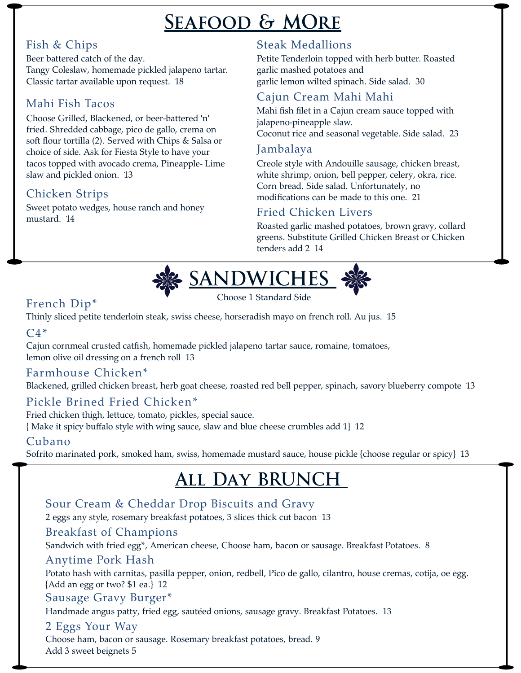# **Seafood & MOre**

# Fish & Chips

Beer battered catch of the day. Tangy Coleslaw, homemade pickled jalapeno tartar. Classic tartar available upon request. 18

# Mahi Fish Tacos

Choose Grilled, Blackened, or beer-battered 'n' fried. Shredded cabbage, pico de gallo, crema on soft flour tortilla (2). Served with Chips & Salsa or choice of side. Ask for Fiesta Style to have your tacos topped with avocado crema, Pineapple- Lime slaw and pickled onion. 13

# Chicken Strips

Sweet potato wedges, house ranch and honey mustard. 14

# Steak Medallions

Petite Tenderloin topped with herb butter. Roasted garlic mashed potatoes and garlic lemon wilted spinach. Side salad. 30

# Cajun Cream Mahi Mahi

Mahi fish filet in a Cajun cream sauce topped with jalapeno-pineapple slaw. Coconut rice and seasonal vegetable. Side salad. 23

# Jambalaya

Creole style with Andouille sausage, chicken breast, white shrimp, onion, bell pepper, celery, okra, rice. Corn bread. Side salad. Unfortunately, no modifications can be made to this one. 21

## Fried Chicken Livers

Roasted garlic mashed potatoes, brown gravy, collard greens. Substitute Grilled Chicken Breast or Chicken tenders add 2 14



# French Dip\*

Thinly sliced petite tenderloin steak, swiss cheese, horseradish mayo on french roll. Au jus. 15

# $C4*$

Cajun cornmeal crusted catfish, homemade pickled jalapeno tartar sauce, romaine, tomatoes, lemon olive oil dressing on a french roll 13

# Farmhouse Chicken\*

Blackened, grilled chicken breast, herb goat cheese, roasted red bell pepper, spinach, savory blueberry compote 13

# Pickle Brined Fried Chicken\*

Fried chicken thigh, lettuce, tomato, pickles, special sauce. { Make it spicy buffalo style with wing sauce, slaw and blue cheese crumbles add 1} 12

# Cubano

Sofrito marinated pork, smoked ham, swiss, homemade mustard sauce, house pickle {choose regular or spicy} 13

# **All Day BRUNCH**

# Sour Cream & Cheddar Drop Biscuits and Gravy

2 eggs any style, rosemary breakfast potatoes, 3 slices thick cut bacon 13

## Breakfast of Champions

Sandwich with fried egg\*, American cheese, Choose ham, bacon or sausage. Breakfast Potatoes. 8

#### Anytime Pork Hash

Potato hash with carnitas, pasilla pepper, onion, redbell, Pico de gallo, cilantro, house cremas, cotija, oe egg. {Add an egg or two? \$1 ea.} 12

## Sausage Gravy Burger\*

Handmade angus patty, fried egg, sautéed onions, sausage gravy. Breakfast Potatoes. 13

## 2 Eggs Your Way

Choose ham, bacon or sausage. Rosemary breakfast potatoes, bread. 9 Add 3 sweet beignets 5